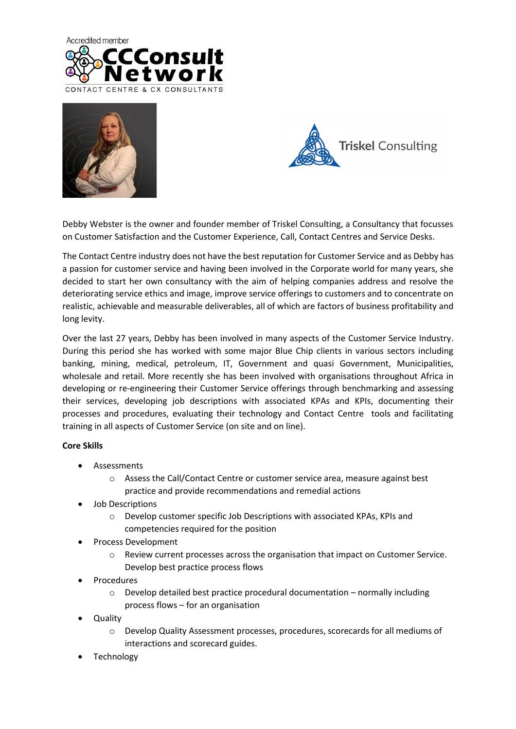





Debby Webster is the owner and founder member of Triskel Consulting, a Consultancy that focusses on Customer Satisfaction and the Customer Experience, Call, Contact Centres and Service Desks.

The Contact Centre industry does not have the best reputation for Customer Service and as Debby has a passion for customer service and having been involved in the Corporate world for many years, she decided to start her own consultancy with the aim of helping companies address and resolve the deteriorating service ethics and image, improve service offerings to customers and to concentrate on realistic, achievable and measurable deliverables, all of which are factors of business profitability and long levity.

Over the last 27 years, Debby has been involved in many aspects of the Customer Service Industry. During this period she has worked with some major Blue Chip clients in various sectors including banking, mining, medical, petroleum, IT, Government and quasi Government, Municipalities, wholesale and retail. More recently she has been involved with organisations throughout Africa in developing or re-engineering their Customer Service offerings through benchmarking and assessing their services, developing job descriptions with associated KPAs and KPIs, documenting their processes and procedures, evaluating their technology and Contact Centre tools and facilitating training in all aspects of Customer Service (on site and on line).

## **Core Skills**

- Assessments
	- o Assess the Call/Contact Centre or customer service area, measure against best practice and provide recommendations and remedial actions
- Job Descriptions
	- o Develop customer specific Job Descriptions with associated KPAs, KPIs and competencies required for the position
- Process Development
	- $\circ$  Review current processes across the organisation that impact on Customer Service. Develop best practice process flows
- Procedures
	- $\circ$  Develop detailed best practice procedural documentation normally including process flows – for an organisation
- Quality
	- o Develop Quality Assessment processes, procedures, scorecards for all mediums of interactions and scorecard guides.
- **Technology**